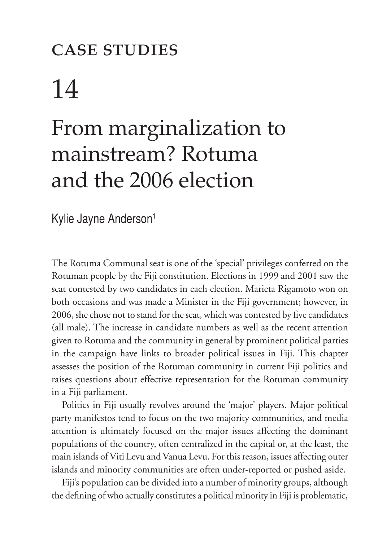### case studies

# 14

## From marginalization to mainstream? Rotuma and the 2006 election

Kylie Jayne Anderson<sup>1</sup>

The Rotuma Communal seat is one of the 'special' privileges conferred on the Rotuman people by the Fiji constitution. Elections in 1999 and 2001 saw the seat contested by two candidates in each election. Marieta Rigamoto won on both occasions and was made a Minister in the Fiji government; however, in 2006, she chose not to stand for the seat, which was contested by five candidates (all male). The increase in candidate numbers as well as the recent attention given to Rotuma and the community in general by prominent political parties in the campaign have links to broader political issues in Fiji. This chapter assesses the position of the Rotuman community in current Fiji politics and raises questions about effective representation for the Rotuman community in a Fiji parliament.

Politics in Fiji usually revolves around the 'major' players. Major political party manifestos tend to focus on the two majority communities, and media attention is ultimately focused on the major issues affecting the dominant populations of the country, often centralized in the capital or, at the least, the main islands of Viti Levu and Vanua Levu. For this reason, issues affecting outer islands and minority communities are often under-reported or pushed aside.

Fiji's population can be divided into a number of minority groups, although the defining of who actually constitutes a political minority in Fiji is problematic,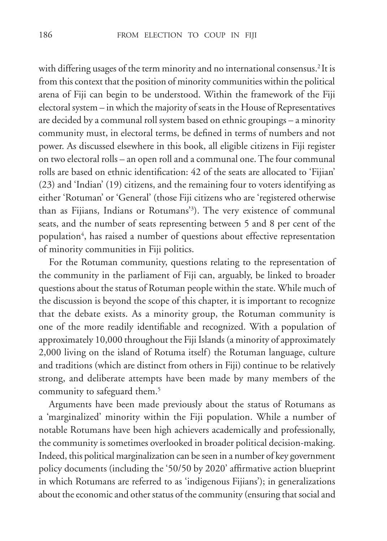with differing usages of the term minority and no international consensus.<sup>2</sup> It is from this context that the position of minority communities within the political arena of Fiji can begin to be understood. Within the framework of the Fiji electoral system – in which the majority of seats in the House of Representatives are decided by a communal roll system based on ethnic groupings – a minority community must, in electoral terms, be defined in terms of numbers and not power. As discussed elsewhere in this book, all eligible citizens in Fiji register on two electoral rolls – an open roll and a communal one. The four communal rolls are based on ethnic identification: 42 of the seats are allocated to 'Fijian' (23) and 'Indian' (19) citizens, and the remaining four to voters identifying as either 'Rotuman' or 'General' (those Fiji citizens who are 'registered otherwise than as Fijians, Indians or Rotumans'3 ). The very existence of communal seats, and the number of seats representing between 5 and 8 per cent of the population<sup>4</sup>, has raised a number of questions about effective representation of minority communities in Fiji politics.

For the Rotuman community, questions relating to the representation of the community in the parliament of Fiji can, arguably, be linked to broader questions about the status of Rotuman people within the state. While much of the discussion is beyond the scope of this chapter, it is important to recognize that the debate exists. As a minority group, the Rotuman community is one of the more readily identifiable and recognized. With a population of approximately 10,000 throughout the Fiji Islands (a minority of approximately 2,000 living on the island of Rotuma itself) the Rotuman language, culture and traditions (which are distinct from others in Fiji) continue to be relatively strong, and deliberate attempts have been made by many members of the community to safeguard them.<sup>5</sup>

Arguments have been made previously about the status of Rotumans as a 'marginalized' minority within the Fiji population. While a number of notable Rotumans have been high achievers academically and professionally, the community is sometimes overlooked in broader political decision-making. Indeed, this political marginalization can be seen in a number of key government policy documents (including the '50/50 by 2020' affirmative action blueprint in which Rotumans are referred to as 'indigenous Fijians'); in generalizations about the economic and other status of the community (ensuring that social and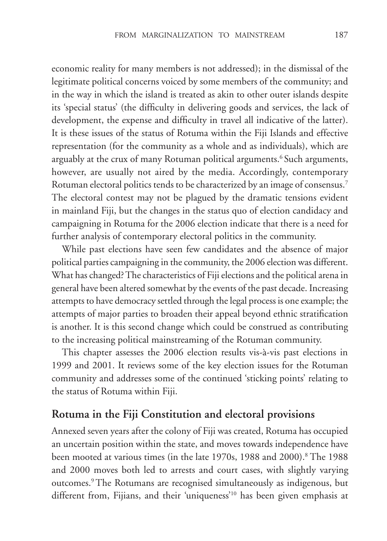economic reality for many members is not addressed); in the dismissal of the legitimate political concerns voiced by some members of the community; and in the way in which the island is treated as akin to other outer islands despite its 'special status' (the difficulty in delivering goods and services, the lack of development, the expense and difficulty in travel all indicative of the latter). It is these issues of the status of Rotuma within the Fiji Islands and effective representation (for the community as a whole and as individuals), which are arguably at the crux of many Rotuman political arguments.<sup>6</sup> Such arguments, however, are usually not aired by the media. Accordingly, contemporary Rotuman electoral politics tends to be characterized by an image of consensus.<sup>7</sup> The electoral contest may not be plagued by the dramatic tensions evident in mainland Fiji, but the changes in the status quo of election candidacy and campaigning in Rotuma for the 2006 election indicate that there is a need for further analysis of contemporary electoral politics in the community.

While past elections have seen few candidates and the absence of major political parties campaigning in the community, the 2006 election was different. What has changed? The characteristics of Fiji elections and the political arena in general have been altered somewhat by the events of the past decade. Increasing attempts to have democracy settled through the legal process is one example; the attempts of major parties to broaden their appeal beyond ethnic stratification is another. It is this second change which could be construed as contributing to the increasing political mainstreaming of the Rotuman community.

This chapter assesses the 2006 election results vis-à-vis past elections in 1999 and 2001. It reviews some of the key election issues for the Rotuman community and addresses some of the continued 'sticking points' relating to the status of Rotuma within Fiji.

#### **Rotuma in the Fiji Constitution and electoral provisions**

Annexed seven years after the colony of Fiji was created, Rotuma has occupied an uncertain position within the state, and moves towards independence have been mooted at various times (in the late 1970s, 1988 and 2000).8 The 1988 and 2000 moves both led to arrests and court cases, with slightly varying outcomes.9 The Rotumans are recognised simultaneously as indigenous, but different from, Fijians, and their 'uniqueness'<sup>10</sup> has been given emphasis at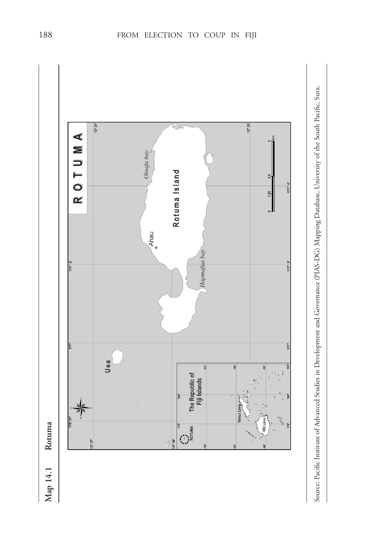



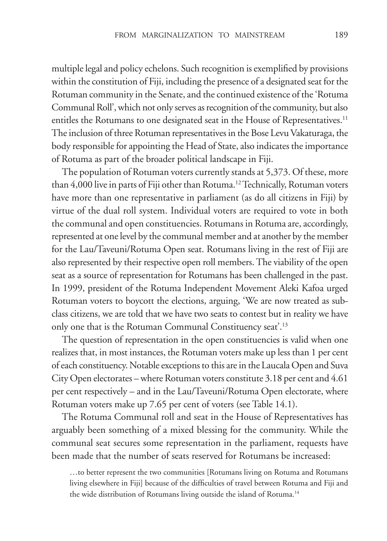multiple legal and policy echelons. Such recognition is exemplified by provisions within the constitution of Fiji, including the presence of a designated seat for the Rotuman community in the Senate, and the continued existence of the 'Rotuma Communal Roll', which not only serves as recognition of the community, but also entitles the Rotumans to one designated seat in the House of Representatives.<sup>11</sup> The inclusion of three Rotuman representatives in the Bose Levu Vakaturaga, the body responsible for appointing the Head of State, also indicates the importance of Rotuma as part of the broader political landscape in Fiji.

The population of Rotuman voters currently stands at 5,373. Of these, more than 4,000 live in parts of Fiji other than Rotuma.<sup>12</sup> Technically, Rotuman voters have more than one representative in parliament (as do all citizens in Fiji) by virtue of the dual roll system. Individual voters are required to vote in both the communal and open constituencies. Rotumans in Rotuma are, accordingly, represented at one level by the communal member and at another by the member for the Lau/Taveuni/Rotuma Open seat. Rotumans living in the rest of Fiji are also represented by their respective open roll members. The viability of the open seat as a source of representation for Rotumans has been challenged in the past. In 1999, president of the Rotuma Independent Movement Aleki Kafoa urged Rotuman voters to boycott the elections, arguing, 'We are now treated as subclass citizens, we are told that we have two seats to contest but in reality we have only one that is the Rotuman Communal Constituency seat'.13

The question of representation in the open constituencies is valid when one realizes that, in most instances, the Rotuman voters make up less than 1 per cent of each constituency. Notable exceptions to this are in the Laucala Open and Suva City Open electorates – where Rotuman voters constitute 3.18 per cent and 4.61 per cent respectively – and in the Lau/Taveuni/Rotuma Open electorate, where Rotuman voters make up 7.65 per cent of voters (see Table 14.1).

The Rotuma Communal roll and seat in the House of Representatives has arguably been something of a mixed blessing for the community. While the communal seat secures some representation in the parliament, requests have been made that the number of seats reserved for Rotumans be increased:

…to better represent the two communities [Rotumans living on Rotuma and Rotumans living elsewhere in Fiji] because of the difficulties of travel between Rotuma and Fiji and the wide distribution of Rotumans living outside the island of Rotuma.<sup>14</sup>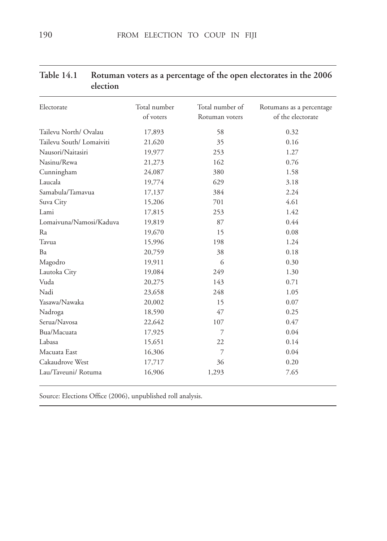| Electorate               | Total number<br>of voters | Total number of<br>Rotuman voters | Rotumans as a percentage<br>of the electorate |
|--------------------------|---------------------------|-----------------------------------|-----------------------------------------------|
| Tailevu North/ Ovalau    | 17,893                    | 58                                | 0.32                                          |
| Tailevu South/ Lomaiviti | 21,620                    | 35                                | 0.16                                          |
| Nausori/Naitasiri        | 19,977                    | 253                               | 1.27                                          |
| Nasinu/Rewa              | 21,273                    | 162                               | 0.76                                          |
| Cunningham               | 24,087                    | 380                               | 1.58                                          |
| Laucala                  | 19,774                    | 629                               | 3.18                                          |
| Samabula/Tamavua         | 17,137                    | 384                               | 2.24                                          |
| Suva City                | 15,206                    | 701                               | 4.61                                          |
| Lami                     | 17,815                    | 253                               | 1.42                                          |
| Lomaivuna/Namosi/Kaduva  | 19,819                    | 87                                | 0.44                                          |
| Ra                       | 19,670                    | 15                                | 0.08                                          |
| Tavua                    | 15,996                    | 198                               | 1.24                                          |
| Ba                       | 20,759                    | 38                                | 0.18                                          |
| Magodro                  | 19,911                    | 6                                 | 0.30                                          |
| Lautoka City             | 19,084                    | 249                               | 1.30                                          |
| Vuda                     | 20,275                    | 143                               | 0.71                                          |
| Nadi                     | 23,658                    | 248                               | 1.05                                          |
| Yasawa/Nawaka            | 20,002                    | 15                                | 0.07                                          |
| Nadroga                  | 18,590                    | 47                                | 0.25                                          |
| Serua/Navosa             | 22,642                    | 107                               | 0.47                                          |
| Bua/Macuata              | 17,925                    | 7                                 | 0.04                                          |
| Labasa                   | 15,651                    | 22                                | 0.14                                          |
| Macuata East             | 16,306                    | $\overline{7}$                    | 0.04                                          |
| Cakaudrove West          | 17,717                    | 36                                | 0.20                                          |
| Lau/Taveuni/ Rotuma      | 16,906                    | 1,293                             | 7.65                                          |
|                          |                           |                                   |                                               |

#### **Table 14.1 Rotuman voters as a percentage of the open electorates in the 2006 election**

Source: Elections Office (2006), unpublished roll analysis.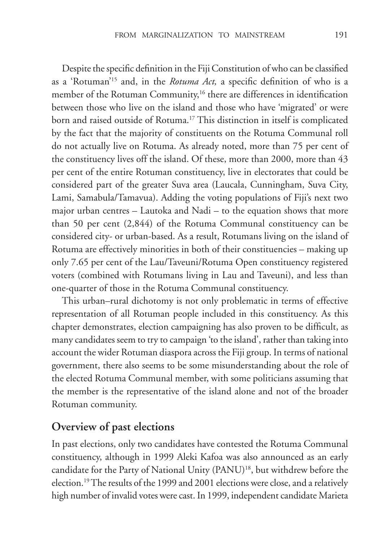Despite the specific definition in the Fiji Constitution of who can be classified as a 'Rotuman'15 and, in the *Rotuma Act,* a specific definition of who is a member of the Rotuman Community,<sup>16</sup> there are differences in identification between those who live on the island and those who have 'migrated' or were born and raised outside of Rotuma.<sup>17</sup> This distinction in itself is complicated by the fact that the majority of constituents on the Rotuma Communal roll do not actually live on Rotuma. As already noted, more than 75 per cent of the constituency lives off the island. Of these, more than 2000, more than 43 per cent of the entire Rotuman constituency, live in electorates that could be considered part of the greater Suva area (Laucala, Cunningham, Suva City, Lami, Samabula/Tamavua). Adding the voting populations of Fiji's next two major urban centres – Lautoka and Nadi – to the equation shows that more than 50 per cent (2,844) of the Rotuma Communal constituency can be considered city- or urban-based. As a result, Rotumans living on the island of Rotuma are effectively minorities in both of their constituencies – making up only 7.65 per cent of the Lau/Taveuni/Rotuma Open constituency registered voters (combined with Rotumans living in Lau and Taveuni), and less than one-quarter of those in the Rotuma Communal constituency.

This urban–rural dichotomy is not only problematic in terms of effective representation of all Rotuman people included in this constituency. As this chapter demonstrates, election campaigning has also proven to be difficult, as many candidates seem to try to campaign 'to the island', rather than taking into account the wider Rotuman diaspora across the Fiji group. In terms of national government, there also seems to be some misunderstanding about the role of the elected Rotuma Communal member, with some politicians assuming that the member is the representative of the island alone and not of the broader Rotuman community.

#### **Overview of past elections**

In past elections, only two candidates have contested the Rotuma Communal constituency, although in 1999 Aleki Kafoa was also announced as an early candidate for the Party of National Unity (PANU) 18, but withdrew before the election.19The results of the 1999 and 2001 elections were close, and a relatively high number of invalid votes were cast. In 1999, independent candidate Marieta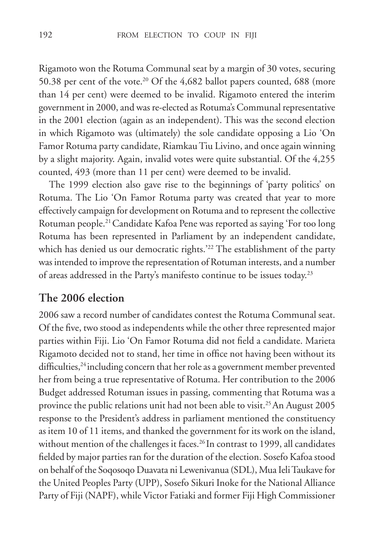Rigamoto won the Rotuma Communal seat by a margin of 30 votes, securing 50.38 per cent of the vote.20 Of the 4,682 ballot papers counted, 688 (more than 14 per cent) were deemed to be invalid. Rigamoto entered the interim government in 2000, and was re-elected as Rotuma's Communal representative in the 2001 election (again as an independent). This was the second election in which Rigamoto was (ultimately) the sole candidate opposing a Lio 'On Famor Rotuma party candidate, Riamkau Tiu Livino, and once again winning by a slight majority. Again, invalid votes were quite substantial. Of the 4,255 counted, 493 (more than 11 per cent) were deemed to be invalid.

The 1999 election also gave rise to the beginnings of 'party politics' on Rotuma. The Lio 'On Famor Rotuma party was created that year to more effectively campaign for development on Rotuma and to represent the collective Rotuman people.21 Candidate Kafoa Pene was reported as saying 'For too long Rotuma has been represented in Parliament by an independent candidate, which has denied us our democratic rights.'<sup>22</sup> The establishment of the party was intended to improve the representation of Rotuman interests, and a number of areas addressed in the Party's manifesto continue to be issues today.23

#### **The 2006 election**

2006 saw a record number of candidates contest the Rotuma Communal seat. Of the five, two stood as independents while the other three represented major parties within Fiji. Lio 'On Famor Rotuma did not field a candidate. Marieta Rigamoto decided not to stand, her time in office not having been without its difficulties,<sup>24</sup> including concern that her role as a government member prevented her from being a true representative of Rotuma. Her contribution to the 2006 Budget addressed Rotuman issues in passing, commenting that Rotuma was a province the public relations unit had not been able to visit.<sup>25</sup> An August 2005 response to the President's address in parliament mentioned the constituency as item 10 of 11 items, and thanked the government for its work on the island, without mention of the challenges it faces.<sup>26</sup> In contrast to 1999, all candidates fielded by major parties ran for the duration of the election. Sosefo Kafoa stood on behalf of the Soqosoqo Duavata ni Lewenivanua (SDL), Mua Ieli Taukave for the United Peoples Party (UPP), Sosefo Sikuri Inoke for the National Alliance Party of Fiji (NAPF), while Victor Fatiaki and former Fiji High Commissioner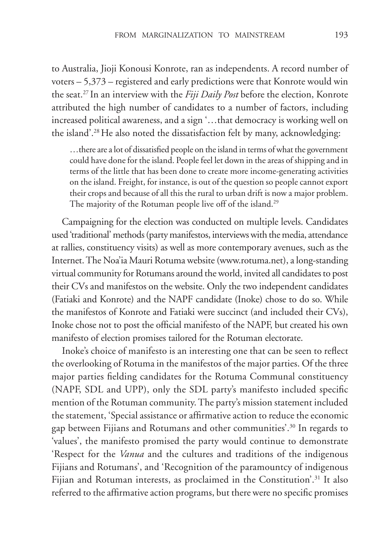to Australia, Jioji Konousi Konrote, ran as independents. A record number of voters – 5,373 – registered and early predictions were that Konrote would win the seat.27 In an interview with the *Fiji Daily Post* before the election, Konrote attributed the high number of candidates to a number of factors, including increased political awareness, and a sign '…that democracy is working well on the island'.28 He also noted the dissatisfaction felt by many, acknowledging:

…there are a lot of dissatisfied people on the island in terms of what the government could have done for the island. People feel let down in the areas of shipping and in terms of the little that has been done to create more income-generating activities on the island. Freight, for instance, is out of the question so people cannot export their crops and because of all this the rural to urban drift is now a major problem. The majority of the Rotuman people live off of the island.<sup>29</sup>

Campaigning for the election was conducted on multiple levels. Candidates used 'traditional' methods (party manifestos, interviews with the media, attendance at rallies, constituency visits) as well as more contemporary avenues, such as the Internet. The Noa'ia Mauri Rotuma website (www.rotuma.net), a long-standing virtual community for Rotumans around the world, invited all candidates to post their CVs and manifestos on the website. Only the two independent candidates (Fatiaki and Konrote) and the NAPF candidate (Inoke) chose to do so. While the manifestos of Konrote and Fatiaki were succinct (and included their CVs), Inoke chose not to post the official manifesto of the NAPF, but created his own manifesto of election promises tailored for the Rotuman electorate.

Inoke's choice of manifesto is an interesting one that can be seen to reflect the overlooking of Rotuma in the manifestos of the major parties. Of the three major parties fielding candidates for the Rotuma Communal constituency (NAPF, SDL and UPP), only the SDL party's manifesto included specific mention of the Rotuman community. The party's mission statement included the statement, 'Special assistance or affirmative action to reduce the economic gap between Fijians and Rotumans and other communities'.30 In regards to 'values', the manifesto promised the party would continue to demonstrate 'Respect for the *Vanua* and the cultures and traditions of the indigenous Fijians and Rotumans', and 'Recognition of the paramountcy of indigenous Fijian and Rotuman interests, as proclaimed in the Constitution'.<sup>31</sup> It also referred to the affirmative action programs, but there were no specific promises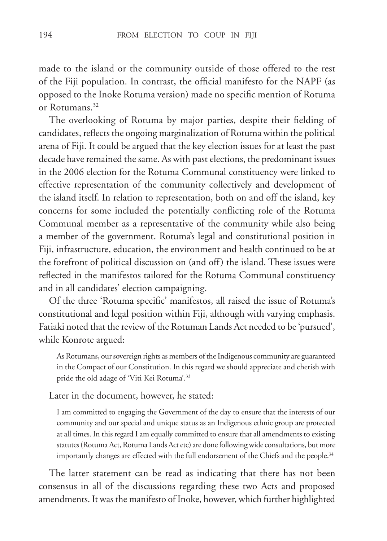made to the island or the community outside of those offered to the rest of the Fiji population. In contrast, the official manifesto for the NAPF (as opposed to the Inoke Rotuma version) made no specific mention of Rotuma or Rotumans.<sup>32</sup>

The overlooking of Rotuma by major parties, despite their fielding of candidates, reflects the ongoing marginalization of Rotuma within the political arena of Fiji. It could be argued that the key election issues for at least the past decade have remained the same. As with past elections, the predominant issues in the 2006 election for the Rotuma Communal constituency were linked to effective representation of the community collectively and development of the island itself. In relation to representation, both on and off the island, key concerns for some included the potentially conflicting role of the Rotuma Communal member as a representative of the community while also being a member of the government. Rotuma's legal and constitutional position in Fiji, infrastructure, education, the environment and health continued to be at the forefront of political discussion on (and off) the island. These issues were reflected in the manifestos tailored for the Rotuma Communal constituency and in all candidates' election campaigning.

Of the three 'Rotuma specific' manifestos, all raised the issue of Rotuma's constitutional and legal position within Fiji, although with varying emphasis. Fatiaki noted that the review of the Rotuman Lands Act needed to be 'pursued', while Konrote argued:

As Rotumans, our sovereign rights as members of the Indigenous community are guaranteed in the Compact of our Constitution. In this regard we should appreciate and cherish with pride the old adage of 'Viti Kei Rotuma'.33

Later in the document, however, he stated:

I am committed to engaging the Government of the day to ensure that the interests of our community and our special and unique status as an Indigenous ethnic group are protected at all times. In this regard I am equally committed to ensure that all amendments to existing statutes (Rotuma Act, Rotuma Lands Act etc) are done following wide consultations, but more importantly changes are effected with the full endorsement of the Chiefs and the people.<sup>34</sup>

The latter statement can be read as indicating that there has not been consensus in all of the discussions regarding these two Acts and proposed amendments. It was the manifesto of Inoke, however, which further highlighted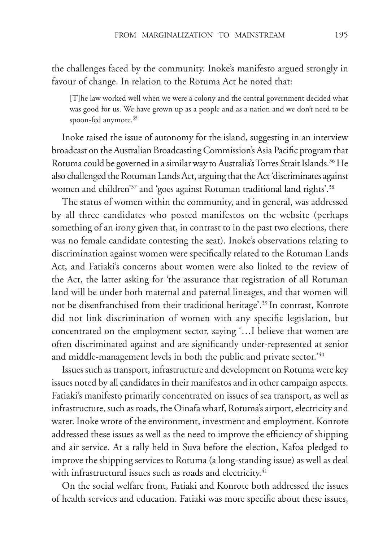the challenges faced by the community. Inoke's manifesto argued strongly in favour of change. In relation to the Rotuma Act he noted that:

[T]he law worked well when we were a colony and the central government decided what was good for us. We have grown up as a people and as a nation and we don't need to be spoon-fed anymore.<sup>35</sup>

Inoke raised the issue of autonomy for the island, suggesting in an interview broadcast on the Australian Broadcasting Commission's Asia Pacific program that Rotuma could be governed in a similar way to Australia's Torres Strait Islands.36 He also challenged the Rotuman Lands Act, arguing that the Act 'discriminates against women and children<sup>'37</sup> and 'goes against Rotuman traditional land rights<sup>'</sup>.<sup>38</sup>

The status of women within the community, and in general, was addressed by all three candidates who posted manifestos on the website (perhaps something of an irony given that, in contrast to in the past two elections, there was no female candidate contesting the seat). Inoke's observations relating to discrimination against women were specifically related to the Rotuman Lands Act, and Fatiaki's concerns about women were also linked to the review of the Act, the latter asking for 'the assurance that registration of all Rotuman land will be under both maternal and paternal lineages, and that women will not be disenfranchised from their traditional heritage'.39 In contrast, Konrote did not link discrimination of women with any specific legislation, but concentrated on the employment sector, saying '…I believe that women are often discriminated against and are significantly under-represented at senior and middle-management levels in both the public and private sector.<sup>'40</sup>

Issues such as transport, infrastructure and development on Rotuma were key issues noted by all candidates in their manifestos and in other campaign aspects. Fatiaki's manifesto primarily concentrated on issues of sea transport, as well as infrastructure, such as roads, the Oinafa wharf, Rotuma's airport, electricity and water. Inoke wrote of the environment, investment and employment. Konrote addressed these issues as well as the need to improve the efficiency of shipping and air service. At a rally held in Suva before the election, Kafoa pledged to improve the shipping services to Rotuma (a long-standing issue) as well as deal with infrastructural issues such as roads and electricity.<sup>41</sup>

On the social welfare front, Fatiaki and Konrote both addressed the issues of health services and education. Fatiaki was more specific about these issues,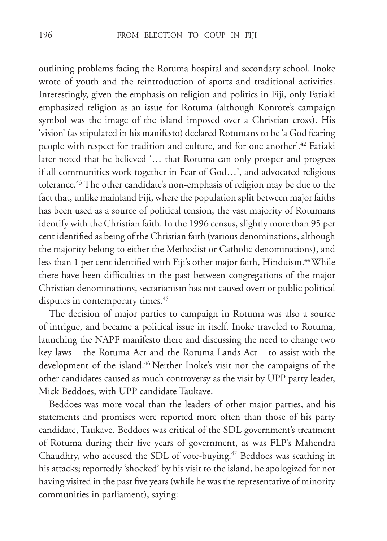outlining problems facing the Rotuma hospital and secondary school. Inoke wrote of youth and the reintroduction of sports and traditional activities. Interestingly, given the emphasis on religion and politics in Fiji, only Fatiaki emphasized religion as an issue for Rotuma (although Konrote's campaign symbol was the image of the island imposed over a Christian cross). His 'vision' (as stipulated in his manifesto) declared Rotumans to be 'a God fearing people with respect for tradition and culture, and for one another'.42 Fatiaki later noted that he believed '… that Rotuma can only prosper and progress if all communities work together in Fear of God…', and advocated religious tolerance.43 The other candidate's non-emphasis of religion may be due to the fact that, unlike mainland Fiji, where the population split between major faiths has been used as a source of political tension, the vast majority of Rotumans identify with the Christian faith. In the 1996 census, slightly more than 95 per cent identified as being of the Christian faith (various denominations, although the majority belong to either the Methodist or Catholic denominations), and less than 1 per cent identified with Fiji's other major faith, Hinduism.44 While there have been difficulties in the past between congregations of the major Christian denominations, sectarianism has not caused overt or public political disputes in contemporary times.<sup>45</sup>

The decision of major parties to campaign in Rotuma was also a source of intrigue, and became a political issue in itself. Inoke traveled to Rotuma, launching the NAPF manifesto there and discussing the need to change two key laws – the Rotuma Act and the Rotuma Lands Act – to assist with the development of the island.<sup>46</sup> Neither Inoke's visit nor the campaigns of the other candidates caused as much controversy as the visit by UPP party leader, Mick Beddoes, with UPP candidate Taukave.

Beddoes was more vocal than the leaders of other major parties, and his statements and promises were reported more often than those of his party candidate, Taukave. Beddoes was critical of the SDL government's treatment of Rotuma during their five years of government, as was FLP's Mahendra Chaudhry, who accused the SDL of vote-buying.47 Beddoes was scathing in his attacks; reportedly 'shocked' by his visit to the island, he apologized for not having visited in the past five years (while he was the representative of minority communities in parliament), saying: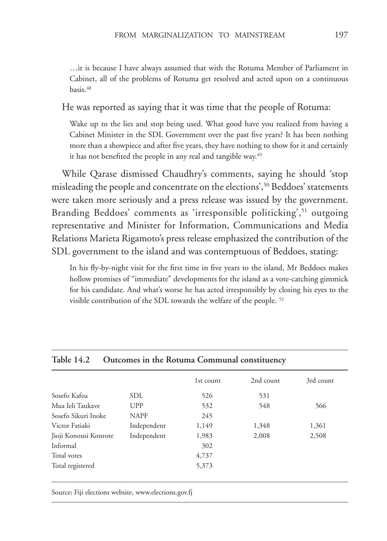…it is because I have always assumed that with the Rotuma Member of Parliament in Cabinet, all of the problems of Rotuma get resolved and acted upon on a continuous basis.48

He was reported as saying that it was time that the people of Rotuma:

Wake up to the lies and stop being used. What good have you realized from having a Cabinet Minister in the SDL Government over the past five years? It has been nothing more than a showpiece and after five years, they have nothing to show for it and certainly it has not benefited the people in any real and tangible way.<sup>49</sup>

While Qarase dismissed Chaudhry's comments, saying he should 'stop misleading the people and concentrate on the elections',50 Beddoes' statements were taken more seriously and a press release was issued by the government. Branding Beddoes' comments as 'irresponsible politicking',<sup>51</sup> outgoing representative and Minister for Information, Communications and Media Relations Marieta Rigamoto's press release emphasized the contribution of the SDL government to the island and was contemptuous of Beddoes, stating:

In his fly-by-night visit for the first time in five years to the island, Mr Beddoes makes hollow promises of "immediate" developments for the island as a vote-catching gimmick for his candidate. And what's worse he has acted irresponsibly by closing his eyes to the visible contribution of the SDL towards the welfare of the people. 52

|                       |             | 1st count | 2nd count | 3rd count |
|-----------------------|-------------|-----------|-----------|-----------|
| Sosefo Kafoa          | <b>SDL</b>  | 526       | 531       |           |
| Mua Ieli Taukave      | <b>UPP</b>  | 532       | 548       | 566       |
| Sosefo Sikuri Inoke   | <b>NAPF</b> | 245       |           |           |
| Victor Fatiaki        | Independent | 1,149     | 1,348     | 1,361     |
| Jioji Konousi Konrote | Independent | 1,983     | 2,008     | 2,508     |
| Informal              |             | 302       |           |           |
| Total votes           |             | 4,737     |           |           |
| Total registered      |             | 5,373     |           |           |

#### **Table 14.2 Outcomes in the Rotuma Communal constituency**

Source**:** Fiji elections website, www.elections.gov.fj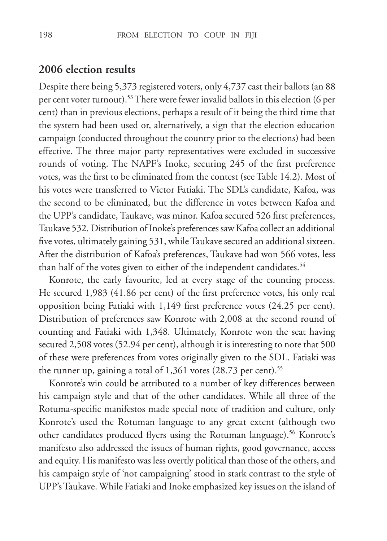#### **2006 election results**

Despite there being 5,373 registered voters, only 4,737 cast their ballots (an 88 per cent voter turnout).53There were fewer invalid ballots in this election (6 per cent) than in previous elections, perhaps a result of it being the third time that the system had been used or, alternatively, a sign that the election education campaign (conducted throughout the country prior to the elections) had been effective. The three major party representatives were excluded in successive rounds of voting. The NAPF's Inoke, securing 245 of the first preference votes, was the first to be eliminated from the contest (see Table 14.2). Most of his votes were transferred to Victor Fatiaki. The SDL's candidate, Kafoa, was the second to be eliminated, but the difference in votes between Kafoa and the UPP's candidate, Taukave, was minor. Kafoa secured 526 first preferences, Taukave 532. Distribution of Inoke's preferences saw Kafoa collect an additional five votes, ultimately gaining 531, while Taukave secured an additional sixteen. After the distribution of Kafoa's preferences, Taukave had won 566 votes, less than half of the votes given to either of the independent candidates.<sup>54</sup>

Konrote, the early favourite, led at every stage of the counting process. He secured 1,983 (41.86 per cent) of the first preference votes, his only real opposition being Fatiaki with 1,149 first preference votes (24.25 per cent). Distribution of preferences saw Konrote with 2,008 at the second round of counting and Fatiaki with 1,348. Ultimately, Konrote won the seat having secured 2,508 votes (52.94 per cent), although it is interesting to note that 500 of these were preferences from votes originally given to the SDL. Fatiaki was the runner up, gaining a total of  $1,361$  votes  $(28.73$  per cent).<sup>55</sup>

Konrote's win could be attributed to a number of key differences between his campaign style and that of the other candidates. While all three of the Rotuma-specific manifestos made special note of tradition and culture, only Konrote's used the Rotuman language to any great extent (although two other candidates produced flyers using the Rotuman language).<sup>56</sup> Konrote's manifesto also addressed the issues of human rights, good governance, access and equity. His manifesto was less overtly political than those of the others, and his campaign style of 'not campaigning' stood in stark contrast to the style of UPP's Taukave. While Fatiaki and Inoke emphasized key issues on the island of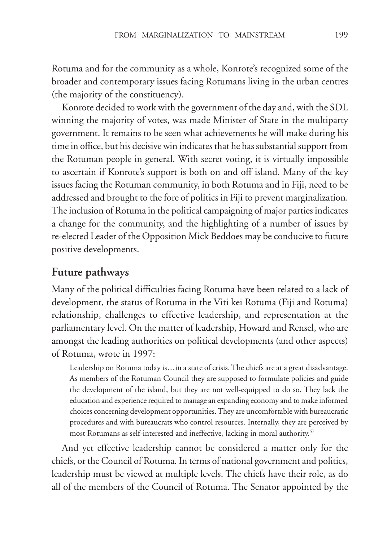Rotuma and for the community as a whole, Konrote's recognized some of the broader and contemporary issues facing Rotumans living in the urban centres (the majority of the constituency).

Konrote decided to work with the government of the day and, with the SDL winning the majority of votes, was made Minister of State in the multiparty government. It remains to be seen what achievements he will make during his time in office, but his decisive win indicates that he has substantial support from the Rotuman people in general. With secret voting, it is virtually impossible to ascertain if Konrote's support is both on and off island. Many of the key issues facing the Rotuman community, in both Rotuma and in Fiji, need to be addressed and brought to the fore of politics in Fiji to prevent marginalization. The inclusion of Rotuma in the political campaigning of major parties indicates a change for the community, and the highlighting of a number of issues by re-elected Leader of the Opposition Mick Beddoes may be conducive to future positive developments.

#### **Future pathways**

Many of the political difficulties facing Rotuma have been related to a lack of development, the status of Rotuma in the Viti kei Rotuma (Fiji and Rotuma) relationship, challenges to effective leadership, and representation at the parliamentary level. On the matter of leadership, Howard and Rensel, who are amongst the leading authorities on political developments (and other aspects) of Rotuma, wrote in 1997:

Leadership on Rotuma today is…in a state of crisis. The chiefs are at a great disadvantage. As members of the Rotuman Council they are supposed to formulate policies and guide the development of the island, but they are not well-equipped to do so. They lack the education and experience required to manage an expanding economy and to make informed choices concerning development opportunities. They are uncomfortable with bureaucratic procedures and with bureaucrats who control resources. Internally, they are perceived by most Rotumans as self-interested and ineffective, lacking in moral authority.<sup>57</sup>

And yet effective leadership cannot be considered a matter only for the chiefs, or the Council of Rotuma. In terms of national government and politics, leadership must be viewed at multiple levels. The chiefs have their role, as do all of the members of the Council of Rotuma. The Senator appointed by the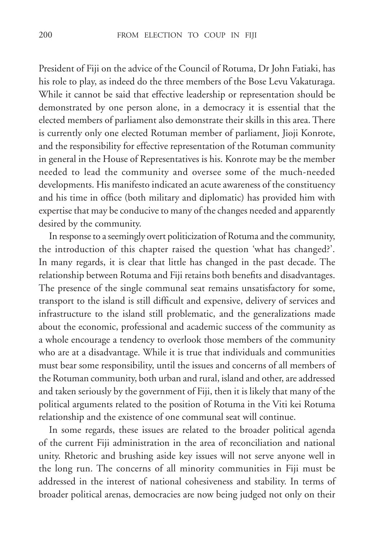President of Fiji on the advice of the Council of Rotuma, Dr John Fatiaki, has his role to play, as indeed do the three members of the Bose Levu Vakaturaga. While it cannot be said that effective leadership or representation should be demonstrated by one person alone, in a democracy it is essential that the elected members of parliament also demonstrate their skills in this area. There is currently only one elected Rotuman member of parliament, Jioji Konrote, and the responsibility for effective representation of the Rotuman community in general in the House of Representatives is his. Konrote may be the member needed to lead the community and oversee some of the much-needed developments. His manifesto indicated an acute awareness of the constituency and his time in office (both military and diplomatic) has provided him with expertise that may be conducive to many of the changes needed and apparently desired by the community.

In response to a seemingly overt politicization of Rotuma and the community, the introduction of this chapter raised the question 'what has changed?'. In many regards, it is clear that little has changed in the past decade. The relationship between Rotuma and Fiji retains both benefits and disadvantages. The presence of the single communal seat remains unsatisfactory for some, transport to the island is still difficult and expensive, delivery of services and infrastructure to the island still problematic, and the generalizations made about the economic, professional and academic success of the community as a whole encourage a tendency to overlook those members of the community who are at a disadvantage. While it is true that individuals and communities must bear some responsibility, until the issues and concerns of all members of the Rotuman community, both urban and rural, island and other, are addressed and taken seriously by the government of Fiji, then it is likely that many of the political arguments related to the position of Rotuma in the Viti kei Rotuma relationship and the existence of one communal seat will continue.

In some regards, these issues are related to the broader political agenda of the current Fiji administration in the area of reconciliation and national unity. Rhetoric and brushing aside key issues will not serve anyone well in the long run. The concerns of all minority communities in Fiji must be addressed in the interest of national cohesiveness and stability. In terms of broader political arenas, democracies are now being judged not only on their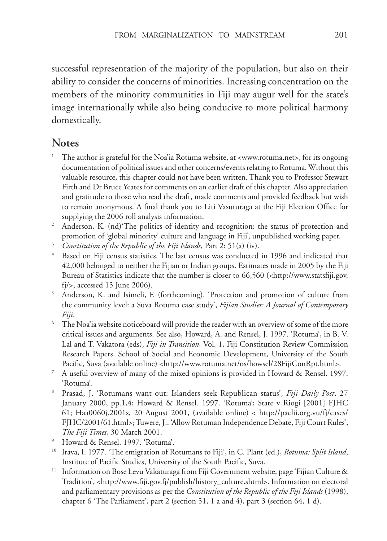successful representation of the majority of the population, but also on their ability to consider the concerns of minorities. Increasing concentration on the members of the minority communities in Fiji may augur well for the state's image internationally while also being conducive to more political harmony domestically.

#### **Notes**

- 1 The author is grateful for the Noa'ia Rotuma website, at <www.rotuma.net>, for its ongoing documentation of political issues and other concerns/events relating to Rotuma. Without this valuable resource, this chapter could not have been written. Thank you to Professor Stewart Firth and Dr Bruce Yeates for comments on an earlier draft of this chapter. Also appreciation and gratitude to those who read the draft, made comments and provided feedback but wish to remain anonymous. A final thank you to Liti Vasuturaga at the Fiji Election Office for supplying the 2006 roll analysis information.<br><sup>2</sup> Anderson, K. (nd)'The politics of identity and recognition: the status of protection and
- promotion of 'global minority' culture and language in Fiji' , unpublished working paper.
- <sup>3</sup> *Constitution of the Republic of the Fiji Islands*, Part 2: 51(a) (iv).
- Based on Fiji census statistics. The last census was conducted in 1996 and indicated that 42,000 belonged to neither the Fijian or Indian groups. Estimates made in 2005 by the Fiji Bureau of Statistics indicate that the number is closer to 66,560 (<http://www.statsfiji.gov. fj/>, accessed 15 June 2006).
- <sup>5</sup> Anderson, K. and Isimeli, F. (forthcoming). 'Protection and promotion of culture from the community level: a Suva Rotuma case study', *Fijian Studies: A Journal of Contemporary Fiji*.
- 6 The Noa'ia website noticeboard will provide the reader with an overview of some of the more critical issues and arguments. See also, Howard, A. and Rensel, J. 1997. 'Rotuma', in B. V. Lal and T. Vakatora (eds), *Fiji in Transition,* Vol. 1, Fiji Constitution Review Commission Research Papers. School of Social and Economic Development, University of the South Pacific, Suva (available online) <http://www.rotuma.net/os/howsel/28FijiConRpt.html>.
- <sup>7</sup> A useful overview of many of the mixed opinions is provided in Howard & Rensel. 1997. 'Rotuma'.
- 8 Prasad, J. 'Rotumans want out: Islanders seek Republican status', *Fiji Daily Post*, 27 January 2000, pp.1,4; Howard & Rensel. 1997. 'Rotuma'; State v Riogi [2001] FJHC 61; Haa0060j.2001s, 20 August 2001, (available online) < http://paclii.org.vu/fj/cases/ FJHC/2001/61.html>; Tuwere, J.. 'Allow Rotuman Independence Debate, Fiji Court Rules', *The Fiji Times*, 30 March 2001.
- <sup>9</sup> Howard & Rensel. 1997. 'Rotuma'.
- 10 Irava, I. 1977. 'The emigration of Rotumans to Fiji', in C. Plant (ed.), *Rotuma: Split Island*, Institute of Pacific Studies, University of the South Pacific, Suva.
- <sup>11</sup> Information on Bose Levu Vakaturaga from Fiji Government website, page 'Fijian Culture & Tradition', <http://www.fiji.gov.fj/publish/history\_culture.shtml>. Information on electoral and parliamentary provisions as per the *Constitution of the Republic of the Fiji Islands* (1998), chapter 6 'The Parliament', part 2 (section 51, 1 a and 4), part 3 (section 64, 1 d).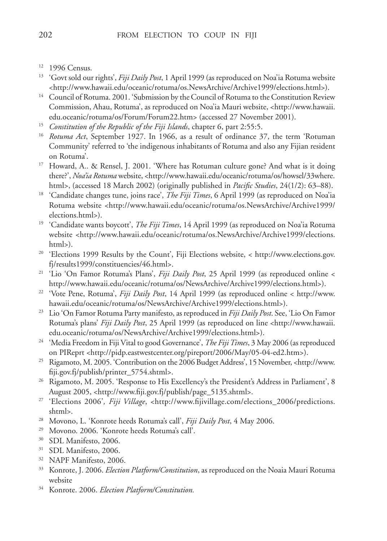- <sup>12</sup> 1996 Census.
- <sup>13</sup> 'Govt sold our rights', *Fiji Daily Post*, 1 April 1999 (as reproduced on Noa'ia Rotuma website <http://www.hawaii.edu/oceanic/rotuma/os.NewsArchive/Archive1999/elections.html>).
- <sup>14</sup> Council of Rotuma. 2001. 'Submission by the Council of Rotuma to the Constitution Review Commission, Ahau, Rotuma', as reproduced on Noa'ia Mauri website, <http://www.hawaii. edu.oceanic/rotuma/os/Forum/Forum22.htm> (accessed 27 November 2001).
- <sup>15</sup> *Constitution of the Republic of the Fiji Islands*, chapter 6, part 2:55:5.
- <sup>16</sup> *Rotuma Act*, September 1927. In 1966, as a result of ordinance 37, the term 'Rotuman Community' referred to 'the indigenous inhabitants of Rotuma and also any Fijian resident on Rotuma'.
- <sup>17</sup> Howard, A.. & Rensel, J. 2001. 'Where has Rotuman culture gone? And what is it doing there?', *Noa'ia Rotuma* website, <http://www.hawaii.edu/oceanic/rotuma/os/howsel/33where.
- html>, (accessed 18 March 2002) (originally published in *Pacific Studies*, 24(1/2): 63–88). 18 'Candidate changes tune, joins race', *The Fiji Times*, 6 April 1999 (as reproduced on Noa'ia Rotuma website <http://www.hawaii.edu/oceanic/rotuma/os.NewsArchive/Archive1999/ elections.html>).
- <sup>19</sup> 'Candidate wants boycott', *The Fiji Times*, 14 April 1999 (as reproduced on Noa'ia Rotuma website <http://www.hawaii.edu/oceanic/rotuma/os.NewsArchive/Archive1999/elections. html>).
- <sup>20</sup> 'Elections 1999 Results by the Count', Fiji Elections website, < http://www.elections.gov. fj/results1999/constituencies/46.html>.
- <sup>21</sup> 'Lio 'On Famor Rotuma's Plans', *Fiji Daily Post*, 25 April 1999 (as reproduced online < http://www.hawaii.edu/oceanic/rotuma/os/NewsArchive/Archive1999/elections.html>).
- <sup>22</sup> 'Vote Pene, Rotuma', *Fiji Daily Post*, 14 April 1999 (as reproduced online < http://www. hawaii.edu/oceanic/rotuma/os/NewsArchive/Archive1999/elections.html>).
- 23 Lio 'On Famor Rotuma Party manifesto, as reproduced in *Fiji Daily Post*. See, 'Lio On Famor Rotuma's plans' *Fiji Daily Post*, 25 April 1999 (as reproduced on line <http://www.hawaii. edu.oceanic/rotuma/os/NewsArchive/Archive1999/elections.html>).
- <sup>24</sup> 'Media Freedom in Fiji Vital to good Governance', *The Fiji Times*, 3 May 2006 (as reproduced on PIReprt <http://pidp.eastwestcenter.org/pireport/2006/May/05-04-ed2.htm>). 25 Rigamoto, M. 2005. 'Contribution on the 2006 Budget Address', 15 November, <http://www.
- fiji.gov.fj/publish/printer\_5754.shtml>.
- <sup>26</sup> Rigamoto, M. 2005. 'Response to His Excellency's the President's Address in Parliament', 8 August 2005, <http://www.fiji.gov.fj/publish/page\_5135.shtml>.
- <sup>27</sup> 'Elections 2006', Fiji Village, <http://www.fijivillage.com/elections\_2006/predictions. shtml>.
- 28 Movono, L. 'Konrote heeds Rotuma's call', *Fiji Daily Post*, 4 May 2006.
- 29 Movono. 2006. 'Konrote heeds Rotuma's call'.
- <sup>30</sup> SDL Manifesto, 2006.
- <sup>31</sup> SDL Manifesto, 2006.
- 32 NAPF Manifesto, 2006.
- <sup>33</sup> Konrote, J. 2006. *Election Platform/Constitution*, as reproduced on the Noaia Mauri Rotuma website
- <sup>34</sup> Konrote. 2006. *Election Platform/Constitution.*